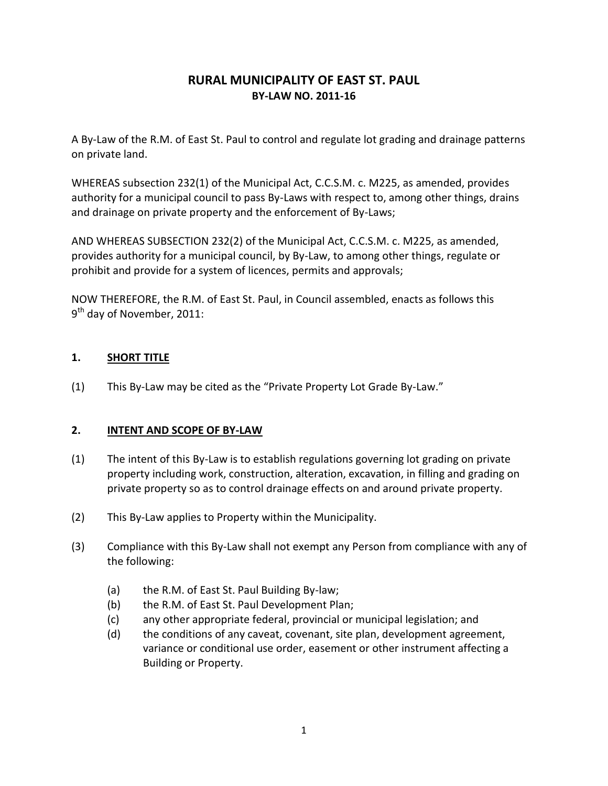# **RURAL MUNICIPALITY OF EAST ST. PAUL BY-LAW NO. 2011-16**

A By-Law of the R.M. of East St. Paul to control and regulate lot grading and drainage patterns on private land.

WHEREAS subsection 232(1) of the Municipal Act, C.C.S.M. c. M225, as amended, provides authority for a municipal council to pass By-Laws with respect to, among other things, drains and drainage on private property and the enforcement of By-Laws;

AND WHEREAS SUBSECTION 232(2) of the Municipal Act, C.C.S.M. c. M225, as amended, provides authority for a municipal council, by By-Law, to among other things, regulate or prohibit and provide for a system of licences, permits and approvals;

NOW THEREFORE, the R.M. of East St. Paul, in Council assembled, enacts as follows this 9<sup>th</sup> day of November, 2011:

# **1. SHORT TITLE**

(1) This By-Law may be cited as the "Private Property Lot Grade By-Law."

#### **2. INTENT AND SCOPE OF BY-LAW**

- (1) The intent of this By-Law is to establish regulations governing lot grading on private property including work, construction, alteration, excavation, in filling and grading on private property so as to control drainage effects on and around private property.
- (2) This By-Law applies to Property within the Municipality.
- (3) Compliance with this By-Law shall not exempt any Person from compliance with any of the following:
	- (a) the R.M. of East St. Paul Building By-law;
	- (b) the R.M. of East St. Paul Development Plan;
	- (c) any other appropriate federal, provincial or municipal legislation; and
	- (d) the conditions of any caveat, covenant, site plan, development agreement, variance or conditional use order, easement or other instrument affecting a Building or Property.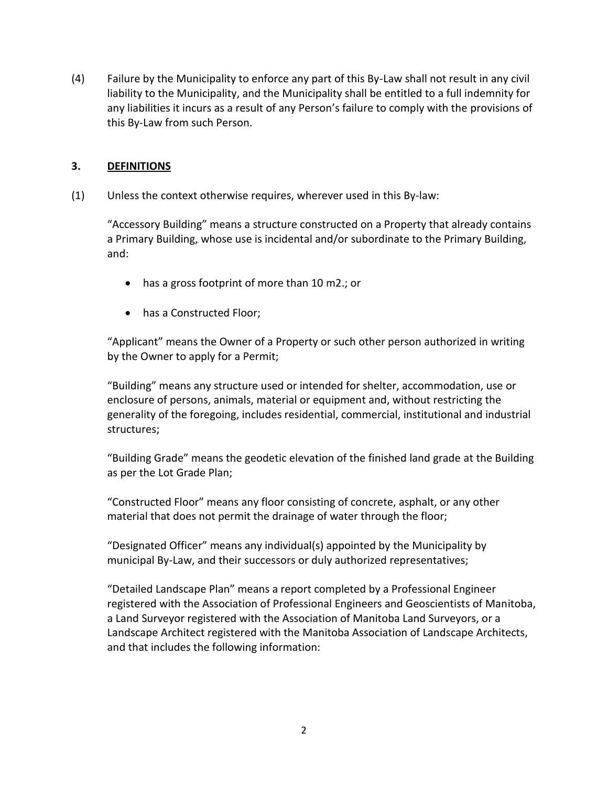(4) Failure by the Municipality to enforce any part of this By-Law shall not result in any civil liability to the Municipality, and the Municipality shall be entitled to a full indemnity for any liabilities it incurs as a result of any Person's failure to comply with the provisions of this By-Law from such Person.

#### **3. DEFINITIONS**

(1) Unless the context otherwise requires, wherever used in this By-law:

"Accessory Building" means a structure constructed on a Property that already contains a Primary Building, whose use is incidental and/or subordinate to the Primary Building, and:

- has a gross footprint of more than 10 m2.; or
- has a Constructed Floor;

"Applicant" means the Owner of a Property or such other person authorized in writing by the Owner to apply for a Permit;

"Building" means any structure used or intended for shelter, accommodation, use or enclosure of persons, animals, material or equipment and, without restricting the generality of the foregoing, includes residential, commercial, institutional and industrial structures;

"Building Grade" means the geodetic elevation of the finished land grade at the Building as per the Lot Grade Plan;

"Constructed Floor" means any floor consisting of concrete, asphalt, or any other material that does not permit the drainage of water through the floor;

"Designated Officer" means any individual(s) appointed by the Municipality by municipal By-Law, and their successors or duly authorized representatives;

"Detailed Landscape Plan" means a report completed by a Professional Engineer registered with the Association of Professional Engineers and Geoscientists of Manitoba, a Land Surveyor registered with the Association of Manitoba Land Surveyors, or a Landscape Architect registered with the Manitoba Association of Landscape Architects, and that includes the following information: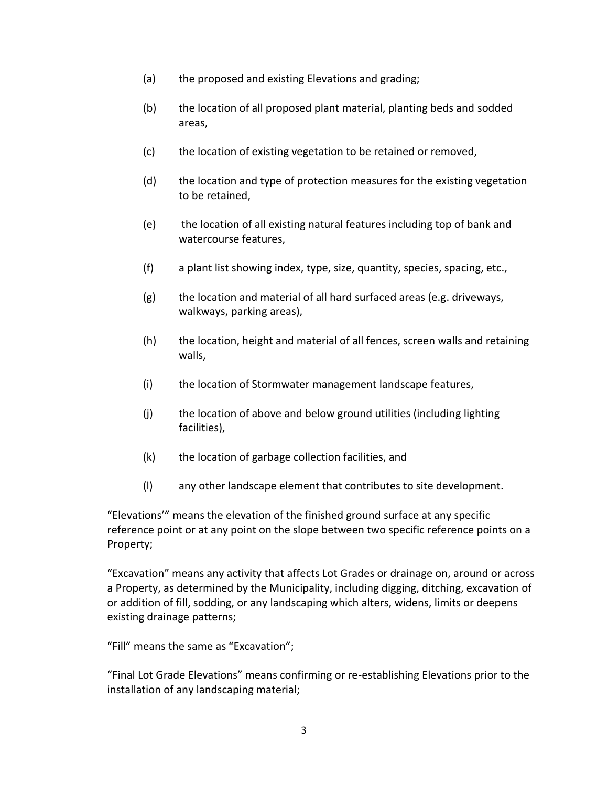- (a) the proposed and existing Elevations and grading;
- (b) the location of all proposed plant material, planting beds and sodded areas,
- (c) the location of existing vegetation to be retained or removed,
- (d) the location and type of protection measures for the existing vegetation to be retained,
- (e) the location of all existing natural features including top of bank and watercourse features,
- (f) a plant list showing index, type, size, quantity, species, spacing, etc.,
- (g) the location and material of all hard surfaced areas (e.g. driveways, walkways, parking areas),
- (h) the location, height and material of all fences, screen walls and retaining walls,
- (i) the location of Stormwater management landscape features,
- (j) the location of above and below ground utilities (including lighting facilities),
- (k) the location of garbage collection facilities, and
- (l) any other landscape element that contributes to site development.

"Elevations'" means the elevation of the finished ground surface at any specific reference point or at any point on the slope between two specific reference points on a Property;

"Excavation" means any activity that affects Lot Grades or drainage on, around or across a Property, as determined by the Municipality, including digging, ditching, excavation of or addition of fill, sodding, or any landscaping which alters, widens, limits or deepens existing drainage patterns;

"Fill" means the same as "Excavation";

"Final Lot Grade Elevations" means confirming or re-establishing Elevations prior to the installation of any landscaping material;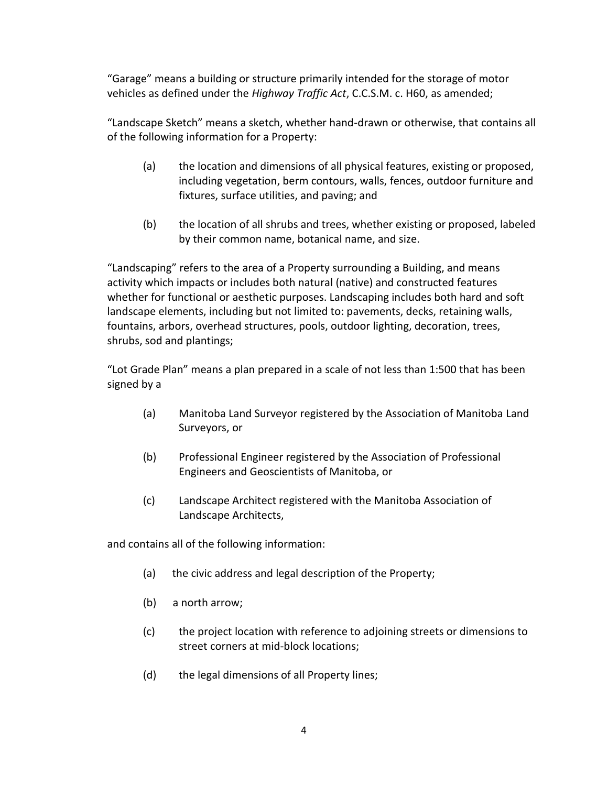"Garage" means a building or structure primarily intended for the storage of motor vehicles as defined under the *Highway Traffic Act*, C.C.S.M. c. H60, as amended;

"Landscape Sketch" means a sketch, whether hand-drawn or otherwise, that contains all of the following information for a Property:

- (a) the location and dimensions of all physical features, existing or proposed, including vegetation, berm contours, walls, fences, outdoor furniture and fixtures, surface utilities, and paving; and
- (b) the location of all shrubs and trees, whether existing or proposed, labeled by their common name, botanical name, and size.

"Landscaping" refers to the area of a Property surrounding a Building, and means activity which impacts or includes both natural (native) and constructed features whether for functional or aesthetic purposes. Landscaping includes both hard and soft landscape elements, including but not limited to: pavements, decks, retaining walls, fountains, arbors, overhead structures, pools, outdoor lighting, decoration, trees, shrubs, sod and plantings;

"Lot Grade Plan" means a plan prepared in a scale of not less than 1:500 that has been signed by a

- (a) Manitoba Land Surveyor registered by the Association of Manitoba Land Surveyors, or
- (b) Professional Engineer registered by the Association of Professional Engineers and Geoscientists of Manitoba, or
- (c) Landscape Architect registered with the Manitoba Association of Landscape Architects,

and contains all of the following information:

- (a) the civic address and legal description of the Property;
- (b) a north arrow;
- (c) the project location with reference to adjoining streets or dimensions to street corners at mid-block locations;
- (d) the legal dimensions of all Property lines;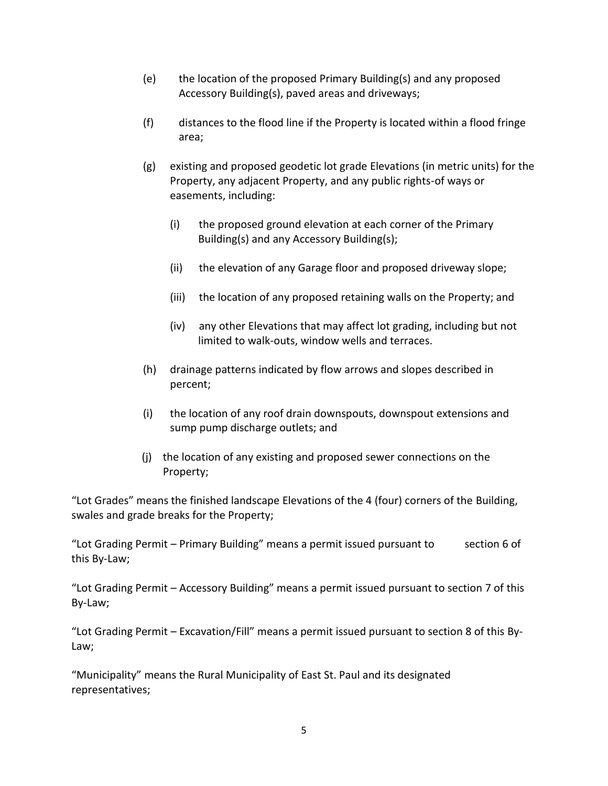- (e) the location of the proposed Primary Building(s) and any proposed Accessory Building(s), paved areas and driveways;
- (f) distances to the flood line if the Property is located within a flood fringe area;
- (g) existing and proposed geodetic lot grade Elevations (in metric units) for the Property, any adjacent Property, and any public rights-of ways or easements, including:
	- (i) the proposed ground elevation at each corner of the Primary Building(s) and any Accessory Building(s);
	- (ii) the elevation of any Garage floor and proposed driveway slope;
	- (iii) the location of any proposed retaining walls on the Property; and
	- (iv) any other Elevations that may affect lot grading, including but not limited to walk-outs, window wells and terraces.
- (h) drainage patterns indicated by flow arrows and slopes described in percent;
- (i) the location of any roof drain downspouts, downspout extensions and sump pump discharge outlets; and
- (j) the location of any existing and proposed sewer connections on the Property;

"Lot Grades" means the finished landscape Elevations of the 4 (four) corners of the Building, swales and grade breaks for the Property;

"Lot Grading Permit – Primary Building" means a permit issued pursuant to section 6 of this By-Law;

"Lot Grading Permit – Accessory Building" means a permit issued pursuant to section 7 of this By-Law;

"Lot Grading Permit – Excavation/Fill" means a permit issued pursuant to section 8 of this By-Law;

"Municipality" means the Rural Municipality of East St. Paul and its designated representatives;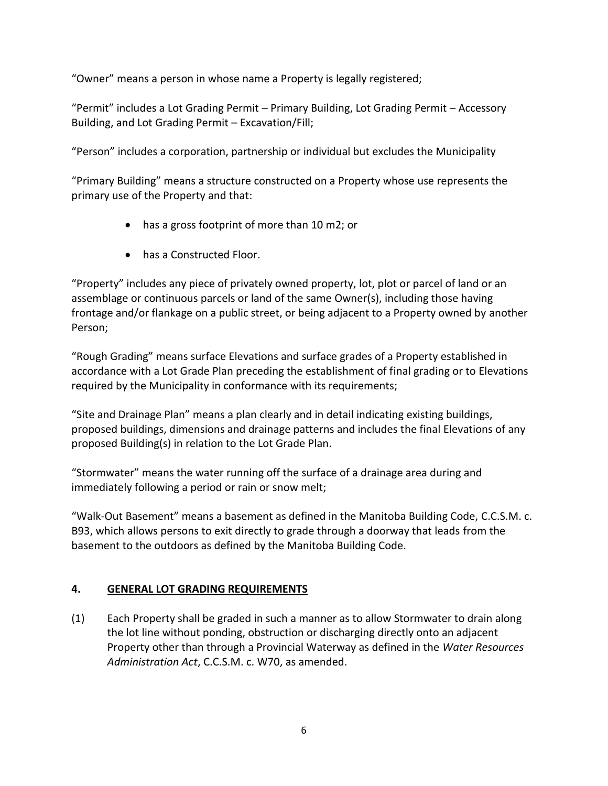"Owner" means a person in whose name a Property is legally registered;

"Permit" includes a Lot Grading Permit – Primary Building, Lot Grading Permit – Accessory Building, and Lot Grading Permit – Excavation/Fill;

"Person" includes a corporation, partnership or individual but excludes the Municipality

"Primary Building" means a structure constructed on a Property whose use represents the primary use of the Property and that:

- has a gross footprint of more than 10 m2; or
- has a Constructed Floor.

"Property" includes any piece of privately owned property, lot, plot or parcel of land or an assemblage or continuous parcels or land of the same Owner(s), including those having frontage and/or flankage on a public street, or being adjacent to a Property owned by another Person;

"Rough Grading" means surface Elevations and surface grades of a Property established in accordance with a Lot Grade Plan preceding the establishment of final grading or to Elevations required by the Municipality in conformance with its requirements;

"Site and Drainage Plan" means a plan clearly and in detail indicating existing buildings, proposed buildings, dimensions and drainage patterns and includes the final Elevations of any proposed Building(s) in relation to the Lot Grade Plan.

"Stormwater" means the water running off the surface of a drainage area during and immediately following a period or rain or snow melt;

"Walk-Out Basement" means a basement as defined in the Manitoba Building Code, C.C.S.M. c. B93, which allows persons to exit directly to grade through a doorway that leads from the basement to the outdoors as defined by the Manitoba Building Code.

# **4. GENERAL LOT GRADING REQUIREMENTS**

(1) Each Property shall be graded in such a manner as to allow Stormwater to drain along the lot line without ponding, obstruction or discharging directly onto an adjacent Property other than through a Provincial Waterway as defined in the *Water Resources Administration Act*, C.C.S.M. c. W70, as amended.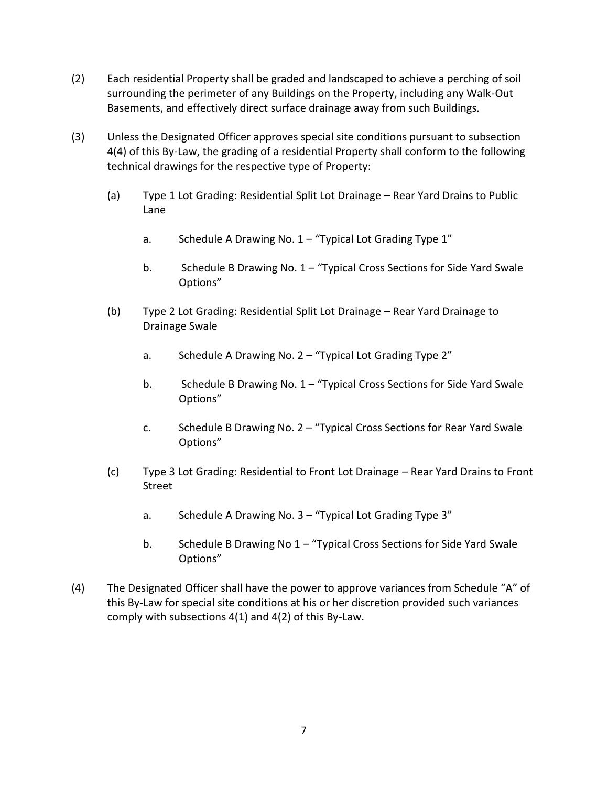- (2) Each residential Property shall be graded and landscaped to achieve a perching of soil surrounding the perimeter of any Buildings on the Property, including any Walk-Out Basements, and effectively direct surface drainage away from such Buildings.
- (3) Unless the Designated Officer approves special site conditions pursuant to subsection 4(4) of this By-Law, the grading of a residential Property shall conform to the following technical drawings for the respective type of Property:
	- (a) Type 1 Lot Grading: Residential Split Lot Drainage Rear Yard Drains to Public Lane
		- a. Schedule A Drawing No. 1 "Typical Lot Grading Type 1"
		- b. Schedule B Drawing No. 1 "Typical Cross Sections for Side Yard Swale Options"
	- (b) Type 2 Lot Grading: Residential Split Lot Drainage Rear Yard Drainage to Drainage Swale
		- a. Schedule A Drawing No. 2 "Typical Lot Grading Type 2"
		- b. Schedule B Drawing No. 1 "Typical Cross Sections for Side Yard Swale Options"
		- c. Schedule B Drawing No. 2 "Typical Cross Sections for Rear Yard Swale Options"
	- (c) Type 3 Lot Grading: Residential to Front Lot Drainage Rear Yard Drains to Front Street
		- a. Schedule A Drawing No. 3 "Typical Lot Grading Type 3"
		- b. Schedule B Drawing No 1 "Typical Cross Sections for Side Yard Swale Options"
- (4) The Designated Officer shall have the power to approve variances from Schedule "A" of this By-Law for special site conditions at his or her discretion provided such variances comply with subsections 4(1) and 4(2) of this By-Law.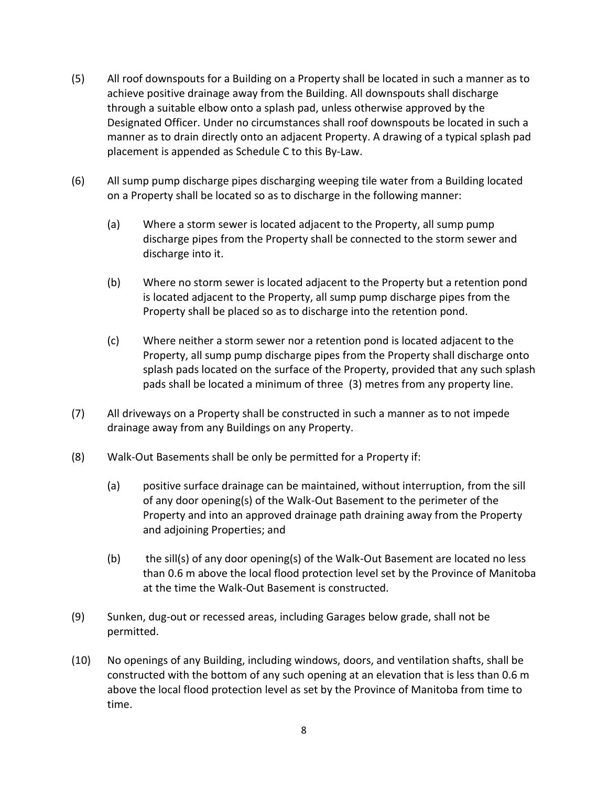- (5) All roof downspouts for a Building on a Property shall be located in such a manner as to achieve positive drainage away from the Building. All downspouts shall discharge through a suitable elbow onto a splash pad, unless otherwise approved by the Designated Officer. Under no circumstances shall roof downspouts be located in such a manner as to drain directly onto an adjacent Property. A drawing of a typical splash pad placement is appended as Schedule C to this By-Law.
- (6) All sump pump discharge pipes discharging weeping tile water from a Building located on a Property shall be located so as to discharge in the following manner:
	- (a) Where a storm sewer is located adjacent to the Property, all sump pump discharge pipes from the Property shall be connected to the storm sewer and discharge into it.
	- (b) Where no storm sewer is located adjacent to the Property but a retention pond is located adjacent to the Property, all sump pump discharge pipes from the Property shall be placed so as to discharge into the retention pond.
	- (c) Where neither a storm sewer nor a retention pond is located adjacent to the Property, all sump pump discharge pipes from the Property shall discharge onto splash pads located on the surface of the Property, provided that any such splash pads shall be located a minimum of three (3) metres from any property line.
- (7) All driveways on a Property shall be constructed in such a manner as to not impede drainage away from any Buildings on any Property.
- (8) Walk-Out Basements shall be only be permitted for a Property if:
	- (a) positive surface drainage can be maintained, without interruption, from the sill of any door opening(s) of the Walk-Out Basement to the perimeter of the Property and into an approved drainage path draining away from the Property and adjoining Properties; and
	- (b) the sill(s) of any door opening(s) of the Walk-Out Basement are located no less than 0.6 m above the local flood protection level set by the Province of Manitoba at the time the Walk-Out Basement is constructed.
- (9) Sunken, dug-out or recessed areas, including Garages below grade, shall not be permitted.
- (10) No openings of any Building, including windows, doors, and ventilation shafts, shall be constructed with the bottom of any such opening at an elevation that is less than 0.6 m above the local flood protection level as set by the Province of Manitoba from time to time.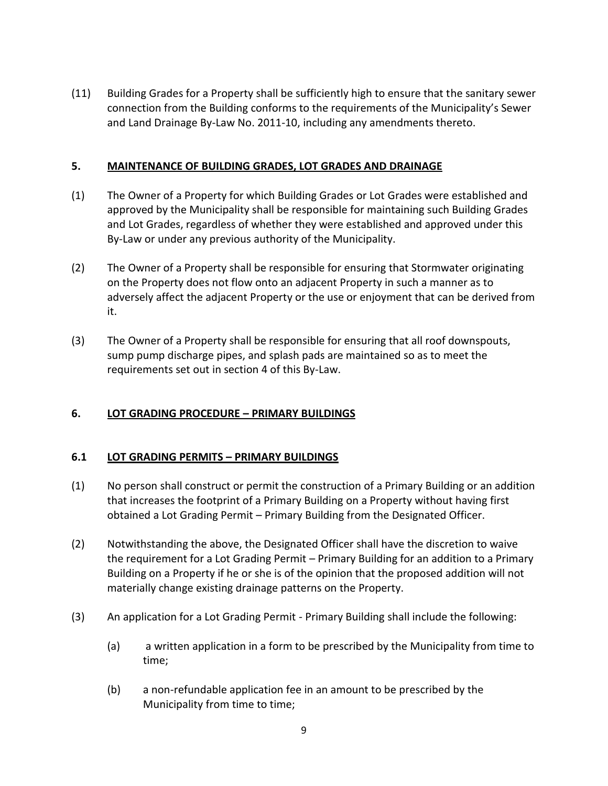(11) Building Grades for a Property shall be sufficiently high to ensure that the sanitary sewer connection from the Building conforms to the requirements of the Municipality's Sewer and Land Drainage By-Law No. 2011-10, including any amendments thereto.

### **5. MAINTENANCE OF BUILDING GRADES, LOT GRADES AND DRAINAGE**

- (1) The Owner of a Property for which Building Grades or Lot Grades were established and approved by the Municipality shall be responsible for maintaining such Building Grades and Lot Grades, regardless of whether they were established and approved under this By-Law or under any previous authority of the Municipality.
- (2) The Owner of a Property shall be responsible for ensuring that Stormwater originating on the Property does not flow onto an adjacent Property in such a manner as to adversely affect the adjacent Property or the use or enjoyment that can be derived from it.
- (3) The Owner of a Property shall be responsible for ensuring that all roof downspouts, sump pump discharge pipes, and splash pads are maintained so as to meet the requirements set out in section 4 of this By-Law.

# **6. LOT GRADING PROCEDURE – PRIMARY BUILDINGS**

#### **6.1 LOT GRADING PERMITS – PRIMARY BUILDINGS**

- (1) No person shall construct or permit the construction of a Primary Building or an addition that increases the footprint of a Primary Building on a Property without having first obtained a Lot Grading Permit – Primary Building from the Designated Officer.
- (2) Notwithstanding the above, the Designated Officer shall have the discretion to waive the requirement for a Lot Grading Permit – Primary Building for an addition to a Primary Building on a Property if he or she is of the opinion that the proposed addition will not materially change existing drainage patterns on the Property.
- (3) An application for a Lot Grading Permit Primary Building shall include the following:
	- (a) a written application in a form to be prescribed by the Municipality from time to time;
	- (b) a non-refundable application fee in an amount to be prescribed by the Municipality from time to time;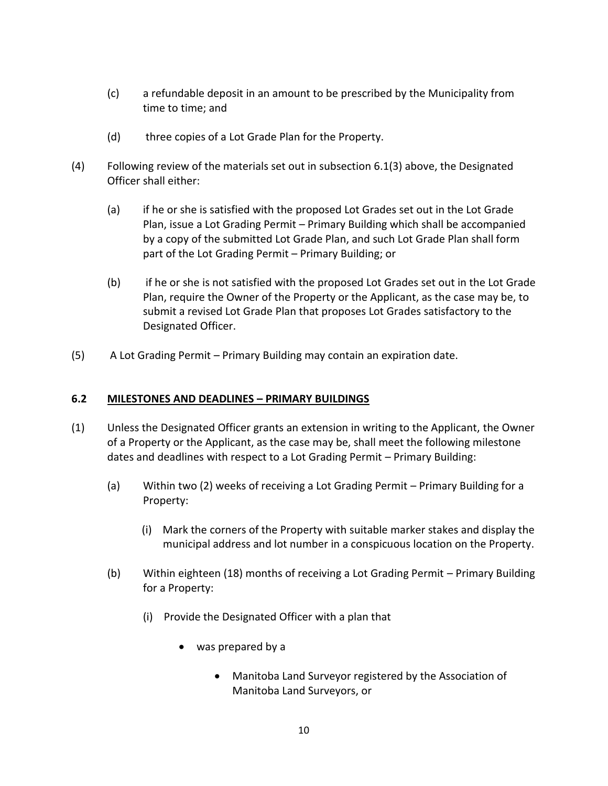- (c) a refundable deposit in an amount to be prescribed by the Municipality from time to time; and
- (d) three copies of a Lot Grade Plan for the Property.
- (4) Following review of the materials set out in subsection 6.1(3) above, the Designated Officer shall either:
	- (a) if he or she is satisfied with the proposed Lot Grades set out in the Lot Grade Plan, issue a Lot Grading Permit – Primary Building which shall be accompanied by a copy of the submitted Lot Grade Plan, and such Lot Grade Plan shall form part of the Lot Grading Permit – Primary Building; or
	- (b) if he or she is not satisfied with the proposed Lot Grades set out in the Lot Grade Plan, require the Owner of the Property or the Applicant, as the case may be, to submit a revised Lot Grade Plan that proposes Lot Grades satisfactory to the Designated Officer.
- (5) A Lot Grading Permit Primary Building may contain an expiration date.

#### **6.2 MILESTONES AND DEADLINES – PRIMARY BUILDINGS**

- (1) Unless the Designated Officer grants an extension in writing to the Applicant, the Owner of a Property or the Applicant, as the case may be, shall meet the following milestone dates and deadlines with respect to a Lot Grading Permit – Primary Building:
	- (a) Within two (2) weeks of receiving a Lot Grading Permit Primary Building for a Property:
		- (i) Mark the corners of the Property with suitable marker stakes and display the municipal address and lot number in a conspicuous location on the Property.
	- (b) Within eighteen (18) months of receiving a Lot Grading Permit Primary Building for a Property:
		- (i) Provide the Designated Officer with a plan that
			- was prepared by a
				- Manitoba Land Surveyor registered by the Association of Manitoba Land Surveyors, or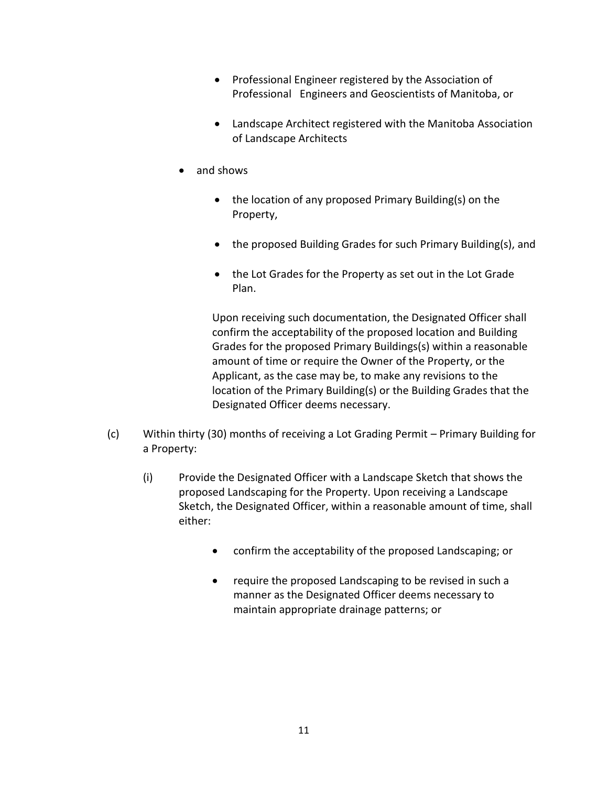- Professional Engineer registered by the Association of Professional Engineers and Geoscientists of Manitoba, or
- Landscape Architect registered with the Manitoba Association of Landscape Architects
- and shows
	- the location of any proposed Primary Building(s) on the Property,
	- the proposed Building Grades for such Primary Building(s), and
	- the Lot Grades for the Property as set out in the Lot Grade Plan.

Upon receiving such documentation, the Designated Officer shall confirm the acceptability of the proposed location and Building Grades for the proposed Primary Buildings(s) within a reasonable amount of time or require the Owner of the Property, or the Applicant, as the case may be, to make any revisions to the location of the Primary Building(s) or the Building Grades that the Designated Officer deems necessary.

- (c) Within thirty (30) months of receiving a Lot Grading Permit Primary Building for a Property:
	- (i) Provide the Designated Officer with a Landscape Sketch that shows the proposed Landscaping for the Property. Upon receiving a Landscape Sketch, the Designated Officer, within a reasonable amount of time, shall either:
		- confirm the acceptability of the proposed Landscaping; or
		- require the proposed Landscaping to be revised in such a manner as the Designated Officer deems necessary to maintain appropriate drainage patterns; or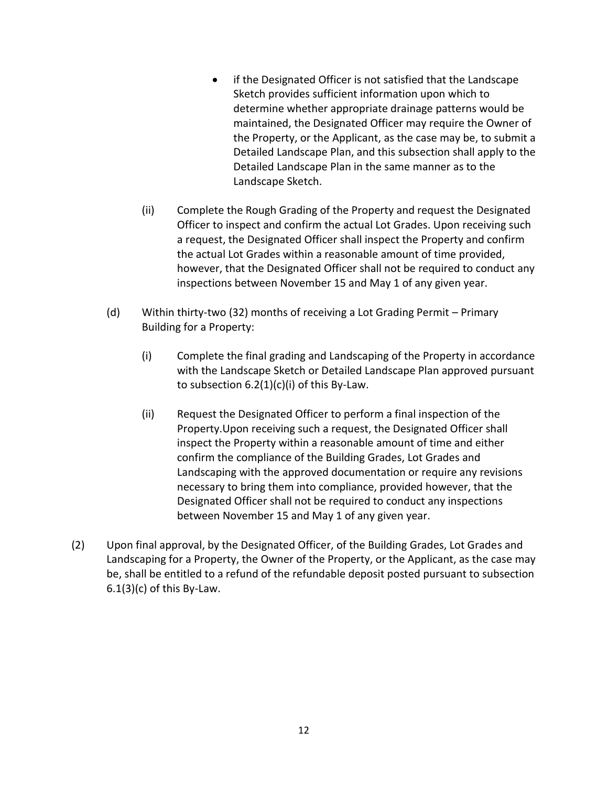- if the Designated Officer is not satisfied that the Landscape Sketch provides sufficient information upon which to determine whether appropriate drainage patterns would be maintained, the Designated Officer may require the Owner of the Property, or the Applicant, as the case may be, to submit a Detailed Landscape Plan, and this subsection shall apply to the Detailed Landscape Plan in the same manner as to the Landscape Sketch.
- (ii) Complete the Rough Grading of the Property and request the Designated Officer to inspect and confirm the actual Lot Grades. Upon receiving such a request, the Designated Officer shall inspect the Property and confirm the actual Lot Grades within a reasonable amount of time provided, however, that the Designated Officer shall not be required to conduct any inspections between November 15 and May 1 of any given year.
- (d) Within thirty-two (32) months of receiving a Lot Grading Permit Primary Building for a Property:
	- (i) Complete the final grading and Landscaping of the Property in accordance with the Landscape Sketch or Detailed Landscape Plan approved pursuant to subsection  $6.2(1)(c)(i)$  of this By-Law.
	- (ii) Request the Designated Officer to perform a final inspection of the Property.Upon receiving such a request, the Designated Officer shall inspect the Property within a reasonable amount of time and either confirm the compliance of the Building Grades, Lot Grades and Landscaping with the approved documentation or require any revisions necessary to bring them into compliance, provided however, that the Designated Officer shall not be required to conduct any inspections between November 15 and May 1 of any given year.
- (2) Upon final approval, by the Designated Officer, of the Building Grades, Lot Grades and Landscaping for a Property, the Owner of the Property, or the Applicant, as the case may be, shall be entitled to a refund of the refundable deposit posted pursuant to subsection  $6.1(3)(c)$  of this By-Law.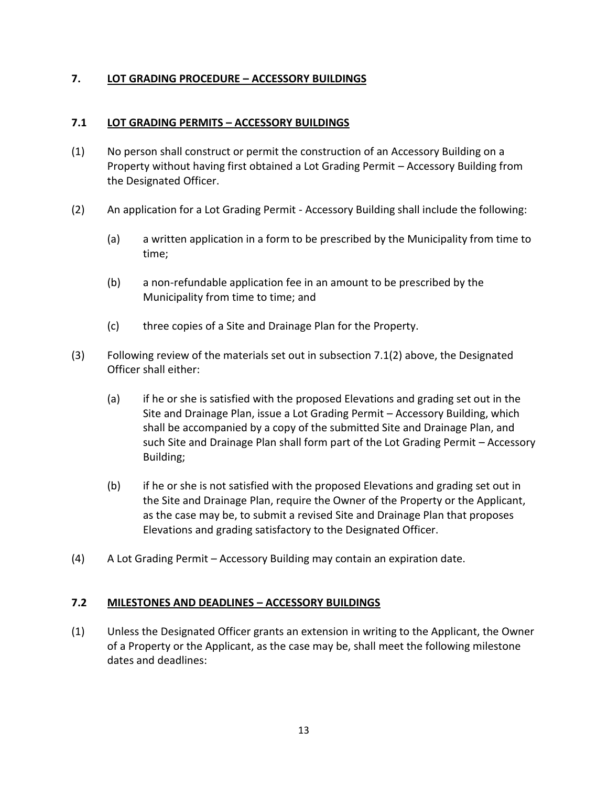### **7. LOT GRADING PROCEDURE – ACCESSORY BUILDINGS**

#### **7.1 LOT GRADING PERMITS – ACCESSORY BUILDINGS**

- (1) No person shall construct or permit the construction of an Accessory Building on a Property without having first obtained a Lot Grading Permit – Accessory Building from the Designated Officer.
- (2) An application for a Lot Grading Permit Accessory Building shall include the following:
	- (a) a written application in a form to be prescribed by the Municipality from time to time;
	- (b) a non-refundable application fee in an amount to be prescribed by the Municipality from time to time; and
	- (c) three copies of a Site and Drainage Plan for the Property.
- (3) Following review of the materials set out in subsection 7.1(2) above, the Designated Officer shall either:
	- (a) if he or she is satisfied with the proposed Elevations and grading set out in the Site and Drainage Plan, issue a Lot Grading Permit – Accessory Building, which shall be accompanied by a copy of the submitted Site and Drainage Plan, and such Site and Drainage Plan shall form part of the Lot Grading Permit – Accessory Building;
	- (b) if he or she is not satisfied with the proposed Elevations and grading set out in the Site and Drainage Plan, require the Owner of the Property or the Applicant, as the case may be, to submit a revised Site and Drainage Plan that proposes Elevations and grading satisfactory to the Designated Officer.
- (4) A Lot Grading Permit Accessory Building may contain an expiration date.

#### **7.2 MILESTONES AND DEADLINES – ACCESSORY BUILDINGS**

(1) Unless the Designated Officer grants an extension in writing to the Applicant, the Owner of a Property or the Applicant, as the case may be, shall meet the following milestone dates and deadlines: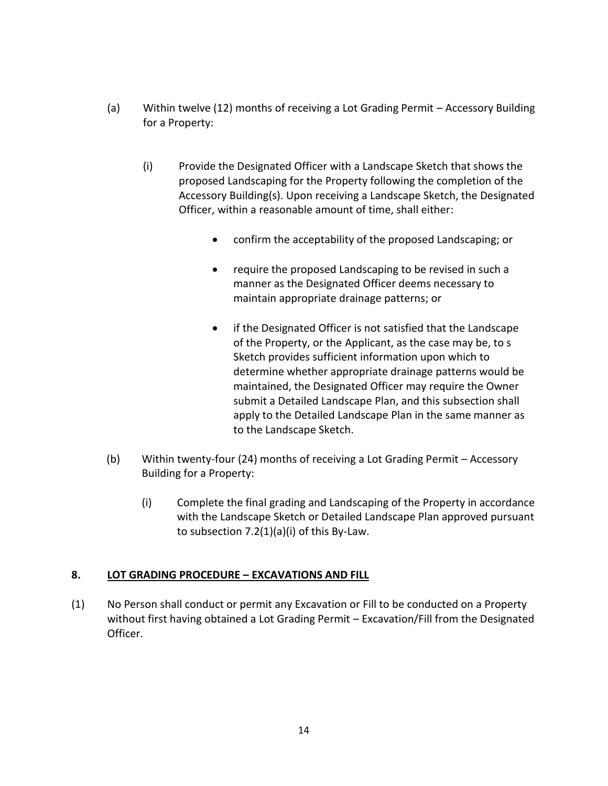- (a) Within twelve (12) months of receiving a Lot Grading Permit Accessory Building for a Property:
	- (i) Provide the Designated Officer with a Landscape Sketch that shows the proposed Landscaping for the Property following the completion of the Accessory Building(s). Upon receiving a Landscape Sketch, the Designated Officer, within a reasonable amount of time, shall either:
		- confirm the acceptability of the proposed Landscaping; or
		- require the proposed Landscaping to be revised in such a manner as the Designated Officer deems necessary to maintain appropriate drainage patterns; or
		- if the Designated Officer is not satisfied that the Landscape of the Property, or the Applicant, as the case may be, to s Sketch provides sufficient information upon which to determine whether appropriate drainage patterns would be maintained, the Designated Officer may require the Owner submit a Detailed Landscape Plan, and this subsection shall apply to the Detailed Landscape Plan in the same manner as to the Landscape Sketch.
- (b) Within twenty-four (24) months of receiving a Lot Grading Permit Accessory Building for a Property:
	- (i) Complete the final grading and Landscaping of the Property in accordance with the Landscape Sketch or Detailed Landscape Plan approved pursuant to subsection 7.2(1)(a)(i) of this By-Law.

# **8. LOT GRADING PROCEDURE – EXCAVATIONS AND FILL**

(1) No Person shall conduct or permit any Excavation or Fill to be conducted on a Property without first having obtained a Lot Grading Permit – Excavation/Fill from the Designated Officer.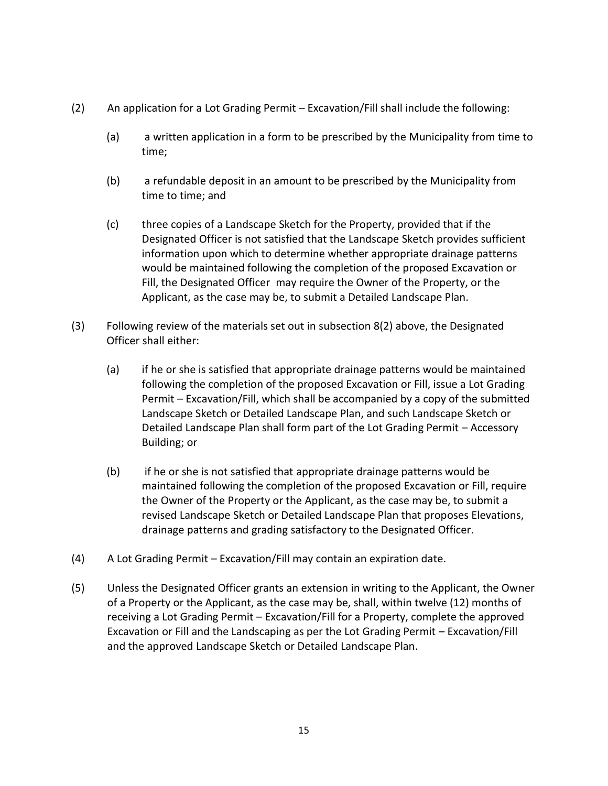- (2) An application for a Lot Grading Permit Excavation/Fill shall include the following:
	- (a) a written application in a form to be prescribed by the Municipality from time to time;
	- (b) a refundable deposit in an amount to be prescribed by the Municipality from time to time; and
	- (c) three copies of a Landscape Sketch for the Property, provided that if the Designated Officer is not satisfied that the Landscape Sketch provides sufficient information upon which to determine whether appropriate drainage patterns would be maintained following the completion of the proposed Excavation or Fill, the Designated Officer may require the Owner of the Property, or the Applicant, as the case may be, to submit a Detailed Landscape Plan.
- (3) Following review of the materials set out in subsection 8(2) above, the Designated Officer shall either:
	- (a) if he or she is satisfied that appropriate drainage patterns would be maintained following the completion of the proposed Excavation or Fill, issue a Lot Grading Permit – Excavation/Fill, which shall be accompanied by a copy of the submitted Landscape Sketch or Detailed Landscape Plan, and such Landscape Sketch or Detailed Landscape Plan shall form part of the Lot Grading Permit – Accessory Building; or
	- (b) if he or she is not satisfied that appropriate drainage patterns would be maintained following the completion of the proposed Excavation or Fill, require the Owner of the Property or the Applicant, as the case may be, to submit a revised Landscape Sketch or Detailed Landscape Plan that proposes Elevations, drainage patterns and grading satisfactory to the Designated Officer.
- (4) A Lot Grading Permit Excavation/Fill may contain an expiration date.
- (5) Unless the Designated Officer grants an extension in writing to the Applicant, the Owner of a Property or the Applicant, as the case may be, shall, within twelve (12) months of receiving a Lot Grading Permit – Excavation/Fill for a Property, complete the approved Excavation or Fill and the Landscaping as per the Lot Grading Permit – Excavation/Fill and the approved Landscape Sketch or Detailed Landscape Plan.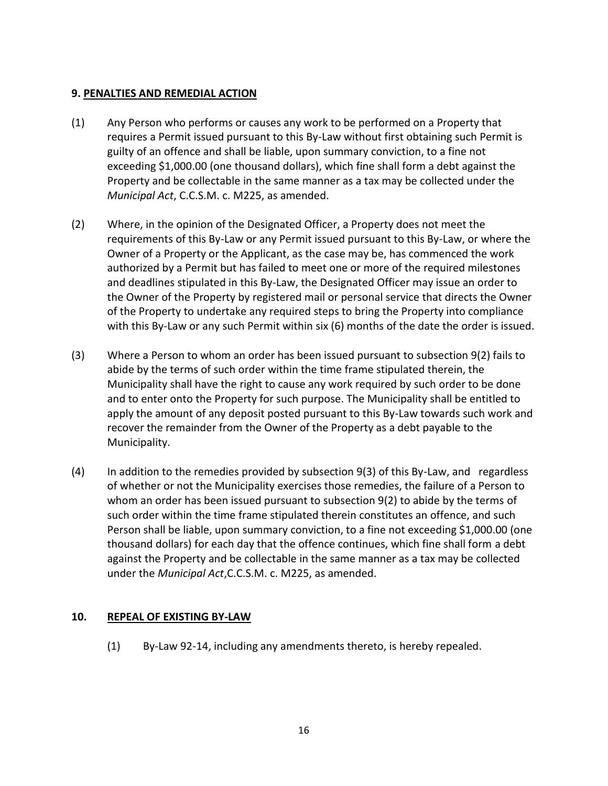#### **9. PENALTIES AND REMEDIAL ACTION**

- (1) Any Person who performs or causes any work to be performed on a Property that requires a Permit issued pursuant to this By-Law without first obtaining such Permit is guilty of an offence and shall be liable, upon summary conviction, to a fine not exceeding \$1,000.00 (one thousand dollars), which fine shall form a debt against the Property and be collectable in the same manner as a tax may be collected under the *Municipal Act*, C.C.S.M. c. M225, as amended.
- (2) Where, in the opinion of the Designated Officer, a Property does not meet the requirements of this By-Law or any Permit issued pursuant to this By-Law, or where the Owner of a Property or the Applicant, as the case may be, has commenced the work authorized by a Permit but has failed to meet one or more of the required milestones and deadlines stipulated in this By-Law, the Designated Officer may issue an order to the Owner of the Property by registered mail or personal service that directs the Owner of the Property to undertake any required steps to bring the Property into compliance with this By-Law or any such Permit within six (6) months of the date the order is issued.
- (3) Where a Person to whom an order has been issued pursuant to subsection 9(2) fails to abide by the terms of such order within the time frame stipulated therein, the Municipality shall have the right to cause any work required by such order to be done and to enter onto the Property for such purpose. The Municipality shall be entitled to apply the amount of any deposit posted pursuant to this By-Law towards such work and recover the remainder from the Owner of the Property as a debt payable to the Municipality.
- (4) In addition to the remedies provided by subsection 9(3) of this By-Law, and regardless of whether or not the Municipality exercises those remedies, the failure of a Person to whom an order has been issued pursuant to subsection 9(2) to abide by the terms of such order within the time frame stipulated therein constitutes an offence, and such Person shall be liable, upon summary conviction, to a fine not exceeding \$1,000.00 (one thousand dollars) for each day that the offence continues, which fine shall form a debt against the Property and be collectable in the same manner as a tax may be collected under the *Municipal Act*,C.C.S.M. c. M225, as amended.

# **10. REPEAL OF EXISTING BY-LAW**

(1) By-Law 92-14, including any amendments thereto, is hereby repealed.